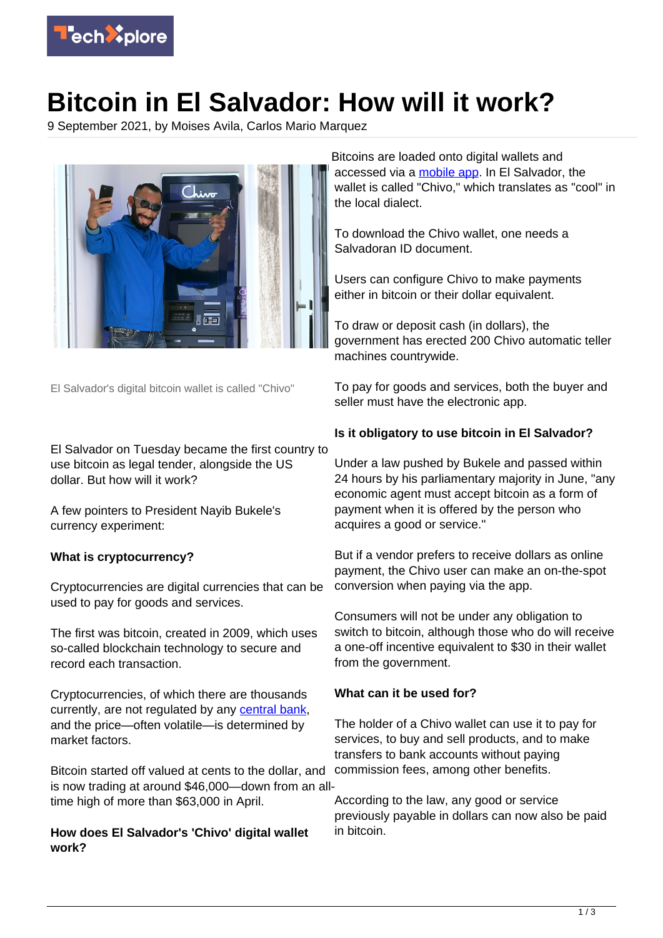

# **Bitcoin in El Salvador: How will it work?**

9 September 2021, by Moises Avila, Carlos Mario Marquez



El Salvador's digital bitcoin wallet is called "Chivo"

El Salvador on Tuesday became the first country to use bitcoin as legal tender, alongside the US dollar. But how will it work?

A few pointers to President Nayib Bukele's currency experiment:

# **What is cryptocurrency?**

Cryptocurrencies are digital currencies that can be used to pay for goods and services.

The first was bitcoin, created in 2009, which uses so-called blockchain technology to secure and record each transaction.

Cryptocurrencies, of which there are thousands currently, are not regulated by any [central bank](https://techxplore.com/tags/central+bank/), and the price—often volatile—is determined by market factors.

Bitcoin started off valued at cents to the dollar, and is now trading at around \$46,000—down from an alltime high of more than \$63,000 in April.

## **How does El Salvador's 'Chivo' digital wallet work?**

Bitcoins are loaded onto digital wallets and accessed via a [mobile app](https://techxplore.com/tags/mobile+app/). In El Salvador, the wallet is called "Chivo," which translates as "cool" in the local dialect.

To download the Chivo wallet, one needs a Salvadoran ID document.

Users can configure Chivo to make payments either in bitcoin or their dollar equivalent.

To draw or deposit cash (in dollars), the government has erected 200 Chivo automatic teller machines countrywide.

To pay for goods and services, both the buyer and seller must have the electronic app.

# **Is it obligatory to use bitcoin in El Salvador?**

Under a law pushed by Bukele and passed within 24 hours by his parliamentary majority in June, "any economic agent must accept bitcoin as a form of payment when it is offered by the person who acquires a good or service."

But if a vendor prefers to receive dollars as online payment, the Chivo user can make an on-the-spot conversion when paying via the app.

Consumers will not be under any obligation to switch to bitcoin, although those who do will receive a one-off incentive equivalent to \$30 in their wallet from the government.

## **What can it be used for?**

The holder of a Chivo wallet can use it to pay for services, to buy and sell products, and to make transfers to bank accounts without paying commission fees, among other benefits.

According to the law, any good or service previously payable in dollars can now also be paid in bitcoin.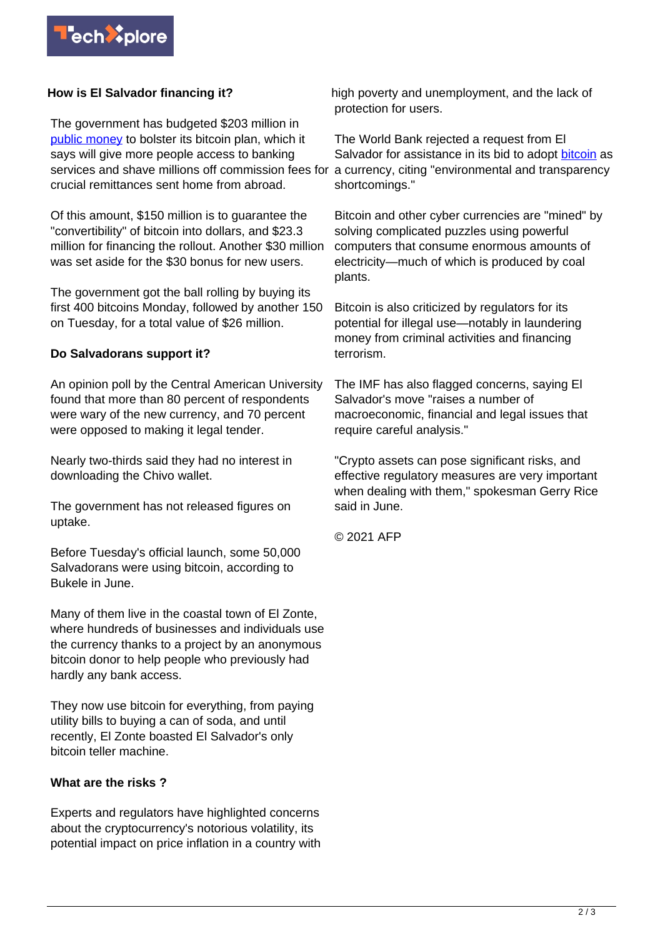

## **How is El Salvador financing it?**

The government has budgeted \$203 million in [public money](https://techxplore.com/tags/public+money/) to bolster its bitcoin plan, which it says will give more people access to banking services and shave millions off commission fees for crucial remittances sent home from abroad.

Of this amount, \$150 million is to guarantee the "convertibility" of bitcoin into dollars, and \$23.3 million for financing the rollout. Another \$30 million was set aside for the \$30 bonus for new users.

The government got the ball rolling by buying its first 400 bitcoins Monday, followed by another 150 on Tuesday, for a total value of \$26 million.

#### **Do Salvadorans support it?**

An opinion poll by the Central American University found that more than 80 percent of respondents were wary of the new currency, and 70 percent were opposed to making it legal tender.

Nearly two-thirds said they had no interest in downloading the Chivo wallet.

The government has not released figures on uptake.

Before Tuesday's official launch, some 50,000 Salvadorans were using bitcoin, according to Bukele in June.

Many of them live in the coastal town of El Zonte, where hundreds of businesses and individuals use the currency thanks to a project by an anonymous bitcoin donor to help people who previously had hardly any bank access.

They now use bitcoin for everything, from paying utility bills to buying a can of soda, and until recently, El Zonte boasted El Salvador's only bitcoin teller machine.

#### **What are the risks ?**

Experts and regulators have highlighted concerns about the cryptocurrency's notorious volatility, its potential impact on price inflation in a country with high poverty and unemployment, and the lack of protection for users.

The World Bank rejected a request from El Salvador for assistance in its bid to adopt [bitcoin](https://techxplore.com/tags/bitcoin/) as a currency, citing "environmental and transparency shortcomings."

Bitcoin and other cyber currencies are "mined" by solving complicated puzzles using powerful computers that consume enormous amounts of electricity—much of which is produced by coal plants.

Bitcoin is also criticized by regulators for its potential for illegal use—notably in laundering money from criminal activities and financing terrorism.

The IMF has also flagged concerns, saying El Salvador's move "raises a number of macroeconomic, financial and legal issues that require careful analysis."

"Crypto assets can pose significant risks, and effective regulatory measures are very important when dealing with them," spokesman Gerry Rice said in June.

© 2021 AFP